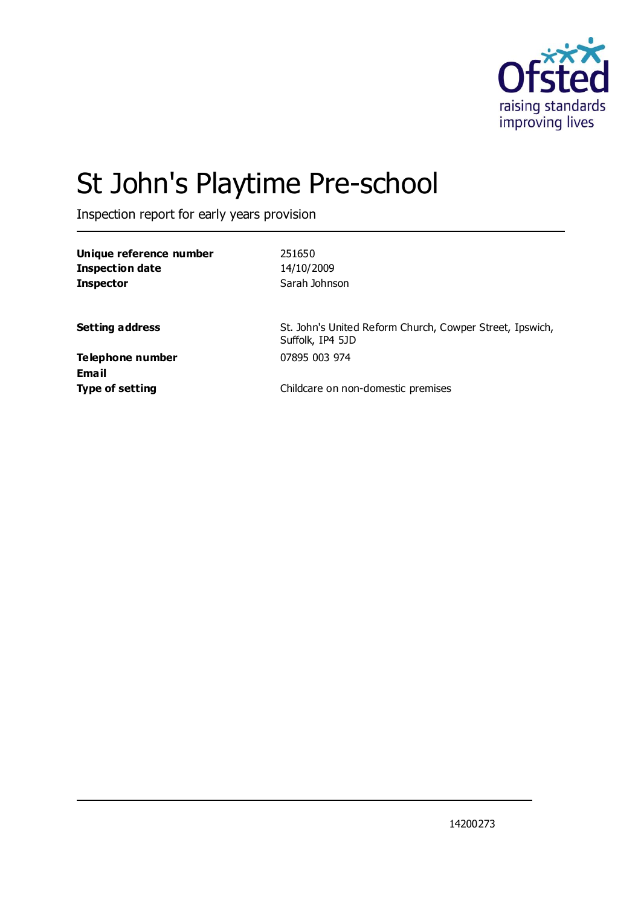

# St John's Playtime Pre-school

Inspection report for early years provision

| Unique reference number |  |
|-------------------------|--|
| Inspection date         |  |
| <b>Inspector</b>        |  |

251650 **Inspection date** 14/10/2009 **Inspector** Sarah Johnson

**Setting address** St. John's United Reform Church, Cowper Street, Ipswich, Suffolk, IP4 5JD

**Telephone number** 07895 003 974 **Email**

**Type of setting** Childcare on non-domestic premises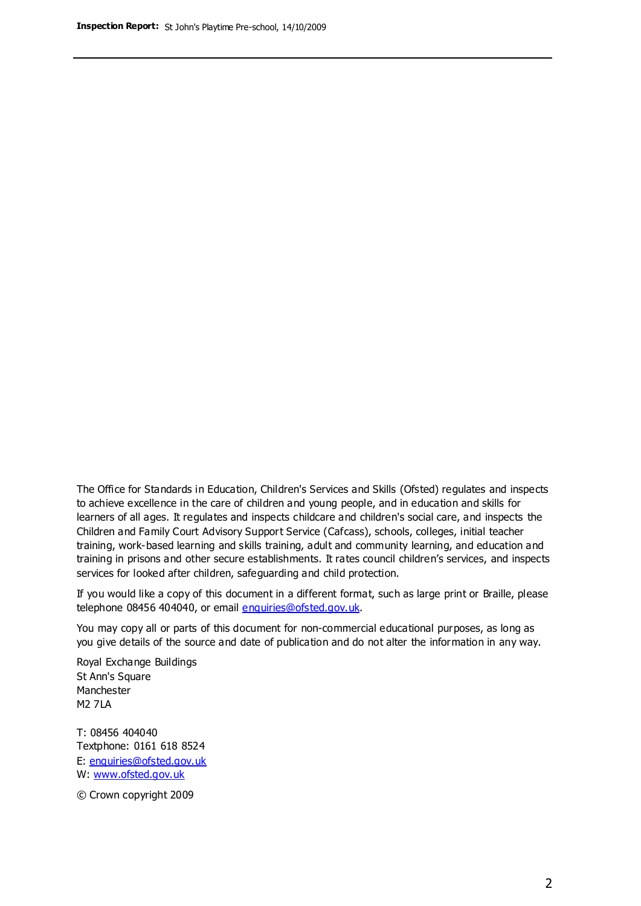The Office for Standards in Education, Children's Services and Skills (Ofsted) regulates and inspects to achieve excellence in the care of children and young people, and in education and skills for learners of all ages. It regulates and inspects childcare and children's social care, and inspects the Children and Family Court Advisory Support Service (Cafcass), schools, colleges, initial teacher training, work-based learning and skills training, adult and community learning, and education and training in prisons and other secure establishments. It rates council children's services, and inspects services for looked after children, safeguarding and child protection.

If you would like a copy of this document in a different format, such as large print or Braille, please telephone 08456 404040, or email enquiries@ofsted.gov.uk.

You may copy all or parts of this document for non-commercial educational purposes, as long as you give details of the source and date of publication and do not alter the information in any way.

Royal Exchange Buildings St Ann's Square Manchester M2 7LA

T: 08456 404040 Textphone: 0161 618 8524 E: enquiries@ofsted.gov.uk W: [www.ofsted.gov.uk](http://www.ofsted.gov.uk/)

© Crown copyright 2009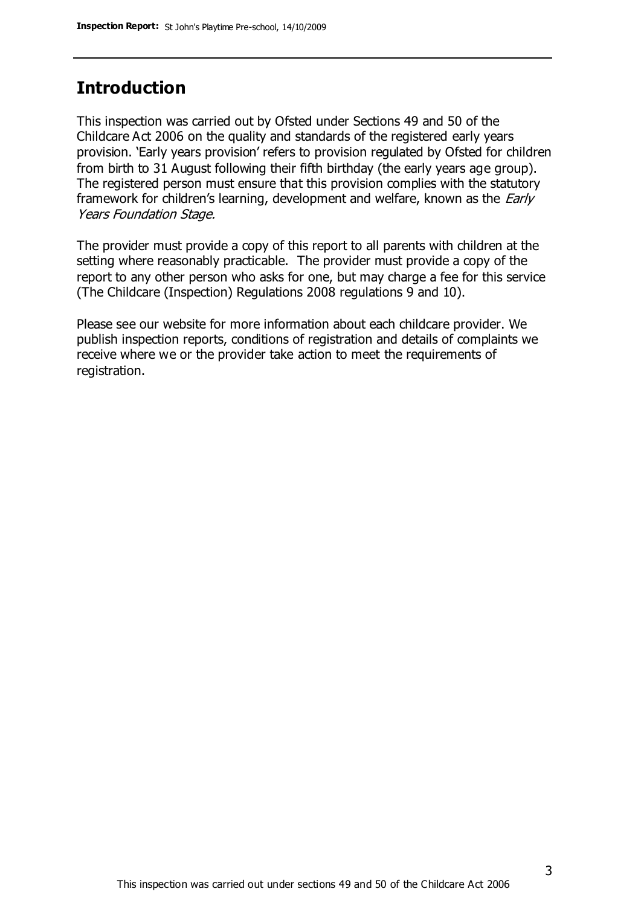## **Introduction**

This inspection was carried out by Ofsted under Sections 49 and 50 of the Childcare Act 2006 on the quality and standards of the registered early years provision. 'Early years provision' refers to provision regulated by Ofsted for children from birth to 31 August following their fifth birthday (the early years age group). The registered person must ensure that this provision complies with the statutory framework for children's learning, development and welfare, known as the *Early* Years Foundation Stage.

The provider must provide a copy of this report to all parents with children at the setting where reasonably practicable. The provider must provide a copy of the report to any other person who asks for one, but may charge a fee for this service (The Childcare (Inspection) Regulations 2008 regulations 9 and 10).

Please see our website for more information about each childcare provider. We publish inspection reports, conditions of registration and details of complaints we receive where we or the provider take action to meet the requirements of registration.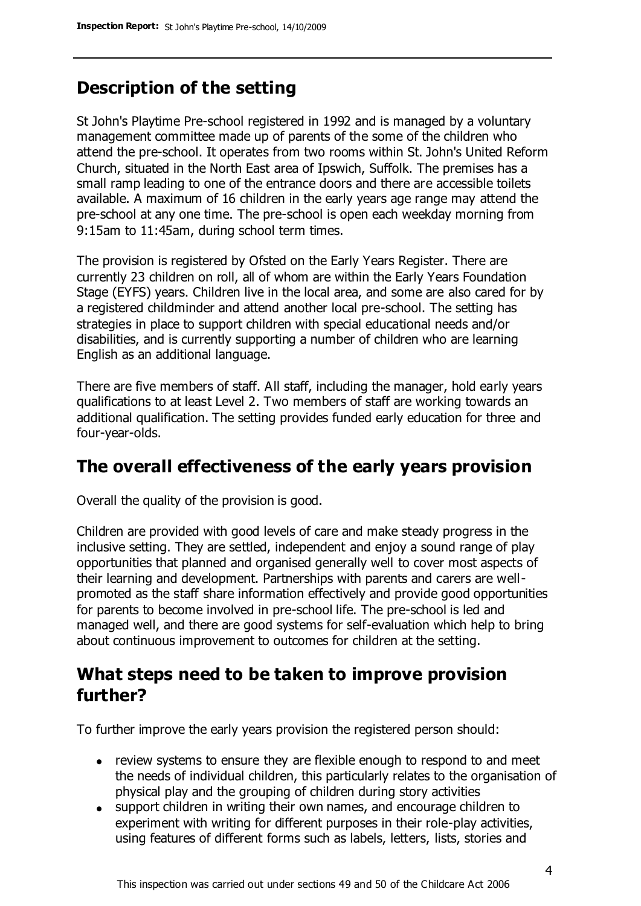# **Description of the setting**

St John's Playtime Pre-school registered in 1992 and is managed by a voluntary management committee made up of parents of the some of the children who attend the pre-school. It operates from two rooms within St. John's United Reform Church, situated in the North East area of Ipswich, Suffolk. The premises has a small ramp leading to one of the entrance doors and there are accessible toilets available. A maximum of 16 children in the early years age range may attend the pre-school at any one time. The pre-school is open each weekday morning from 9:15am to 11:45am, during school term times.

The provision is registered by Ofsted on the Early Years Register. There are currently 23 children on roll, all of whom are within the Early Years Foundation Stage (EYFS) years. Children live in the local area, and some are also cared for by a registered childminder and attend another local pre-school. The setting has strategies in place to support children with special educational needs and/or disabilities, and is currently supporting a number of children who are learning English as an additional language.

There are five members of staff. All staff, including the manager, hold early years qualifications to at least Level 2. Two members of staff are working towards an additional qualification. The setting provides funded early education for three and four-year-olds.

## **The overall effectiveness of the early years provision**

Overall the quality of the provision is good.

Children are provided with good levels of care and make steady progress in the inclusive setting. They are settled, independent and enjoy a sound range of play opportunities that planned and organised generally well to cover most aspects of their learning and development. Partnerships with parents and carers are wellpromoted as the staff share information effectively and provide good opportunities for parents to become involved in pre-school life. The pre-school is led and managed well, and there are good systems for self-evaluation which help to bring about continuous improvement to outcomes for children at the setting.

## **What steps need to be taken to improve provision further?**

To further improve the early years provision the registered person should:

- review systems to ensure they are flexible enough to respond to and meet the needs of individual children, this particularly relates to the organisation of physical play and the grouping of children during story activities
- support children in writing their own names, and encourage children to experiment with writing for different purposes in their role-play activities, using features of different forms such as labels, letters, lists, stories and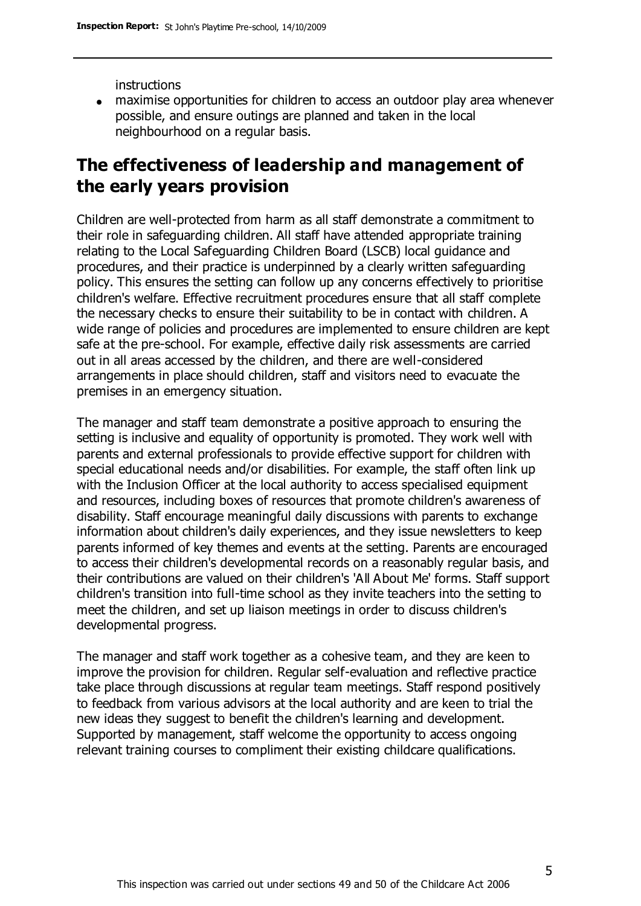instructions

maximise opportunities for children to access an outdoor play area whenever possible, and ensure outings are planned and taken in the local neighbourhood on a regular basis.

# **The effectiveness of leadership and management of the early years provision**

Children are well-protected from harm as all staff demonstrate a commitment to their role in safeguarding children. All staff have attended appropriate training relating to the Local Safeguarding Children Board (LSCB) local guidance and procedures, and their practice is underpinned by a clearly written safeguarding policy. This ensures the setting can follow up any concerns effectively to prioritise children's welfare. Effective recruitment procedures ensure that all staff complete the necessary checks to ensure their suitability to be in contact with children. A wide range of policies and procedures are implemented to ensure children are kept safe at the pre-school. For example, effective daily risk assessments are carried out in all areas accessed by the children, and there are well-considered arrangements in place should children, staff and visitors need to evacuate the premises in an emergency situation.

The manager and staff team demonstrate a positive approach to ensuring the setting is inclusive and equality of opportunity is promoted. They work well with parents and external professionals to provide effective support for children with special educational needs and/or disabilities. For example, the staff often link up with the Inclusion Officer at the local authority to access specialised equipment and resources, including boxes of resources that promote children's awareness of disability. Staff encourage meaningful daily discussions with parents to exchange information about children's daily experiences, and they issue newsletters to keep parents informed of key themes and events at the setting. Parents are encouraged to access their children's developmental records on a reasonably regular basis, and their contributions are valued on their children's 'All About Me' forms. Staff support children's transition into full-time school as they invite teachers into the setting to meet the children, and set up liaison meetings in order to discuss children's developmental progress.

The manager and staff work together as a cohesive team, and they are keen to improve the provision for children. Regular self-evaluation and reflective practice take place through discussions at regular team meetings. Staff respond positively to feedback from various advisors at the local authority and are keen to trial the new ideas they suggest to benefit the children's learning and development. Supported by management, staff welcome the opportunity to access ongoing relevant training courses to compliment their existing childcare qualifications.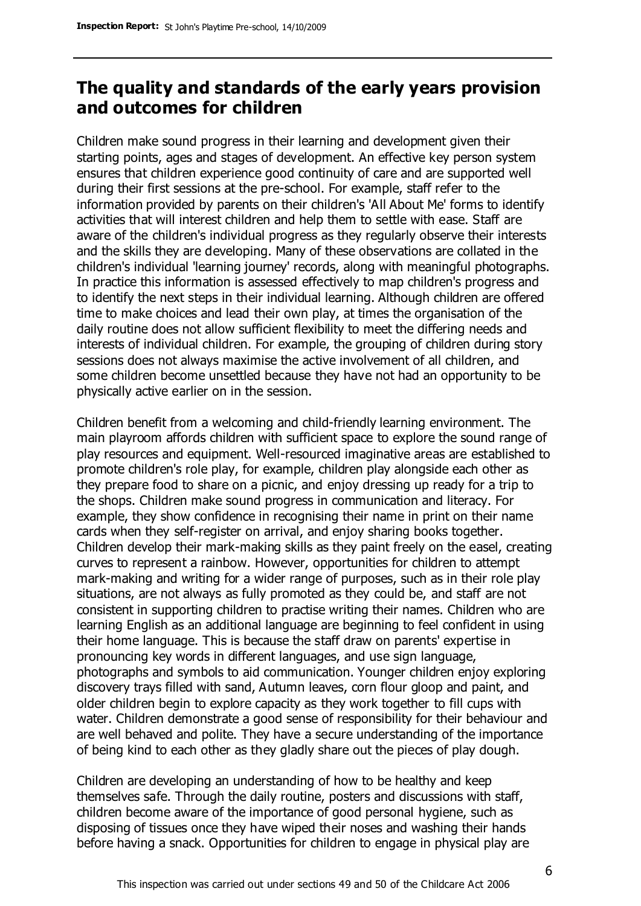# **The quality and standards of the early years provision and outcomes for children**

Children make sound progress in their learning and development given their starting points, ages and stages of development. An effective key person system ensures that children experience good continuity of care and are supported well during their first sessions at the pre-school. For example, staff refer to the information provided by parents on their children's 'All About Me' forms to identify activities that will interest children and help them to settle with ease. Staff are aware of the children's individual progress as they regularly observe their interests and the skills they are developing. Many of these observations are collated in the children's individual 'learning journey' records, along with meaningful photographs. In practice this information is assessed effectively to map children's progress and to identify the next steps in their individual learning. Although children are offered time to make choices and lead their own play, at times the organisation of the daily routine does not allow sufficient flexibility to meet the differing needs and interests of individual children. For example, the grouping of children during story sessions does not always maximise the active involvement of all children, and some children become unsettled because they have not had an opportunity to be physically active earlier on in the session.

Children benefit from a welcoming and child-friendly learning environment. The main playroom affords children with sufficient space to explore the sound range of play resources and equipment. Well-resourced imaginative areas are established to promote children's role play, for example, children play alongside each other as they prepare food to share on a picnic, and enjoy dressing up ready for a trip to the shops. Children make sound progress in communication and literacy. For example, they show confidence in recognising their name in print on their name cards when they self-register on arrival, and enjoy sharing books together. Children develop their mark-making skills as they paint freely on the easel, creating curves to represent a rainbow. However, opportunities for children to attempt mark-making and writing for a wider range of purposes, such as in their role play situations, are not always as fully promoted as they could be, and staff are not consistent in supporting children to practise writing their names. Children who are learning English as an additional language are beginning to feel confident in using their home language. This is because the staff draw on parents' expertise in pronouncing key words in different languages, and use sign language, photographs and symbols to aid communication. Younger children enjoy exploring discovery trays filled with sand, Autumn leaves, corn flour gloop and paint, and older children begin to explore capacity as they work together to fill cups with water. Children demonstrate a good sense of responsibility for their behaviour and are well behaved and polite. They have a secure understanding of the importance of being kind to each other as they gladly share out the pieces of play dough.

Children are developing an understanding of how to be healthy and keep themselves safe. Through the daily routine, posters and discussions with staff, children become aware of the importance of good personal hygiene, such as disposing of tissues once they have wiped their noses and washing their hands before having a snack. Opportunities for children to engage in physical play are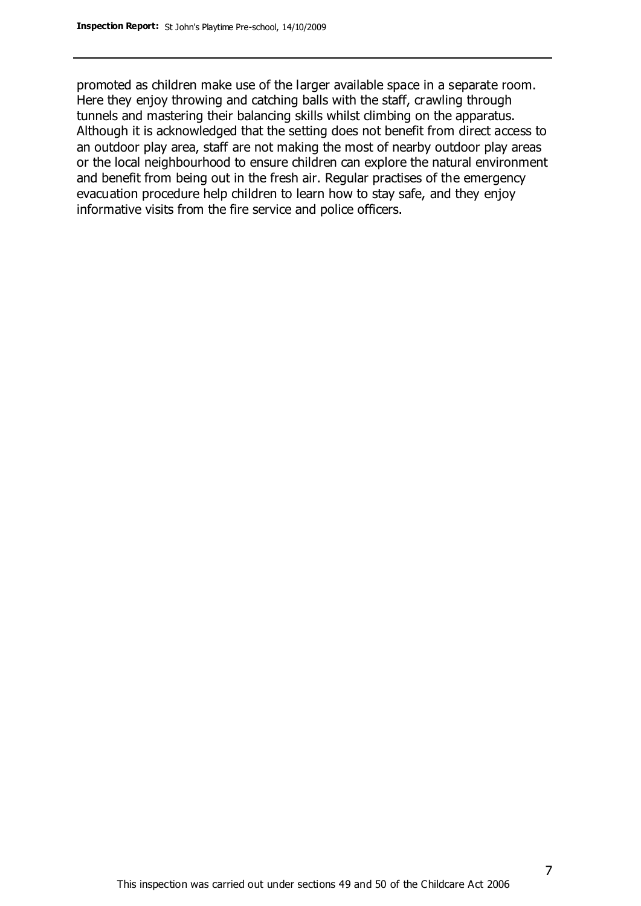promoted as children make use of the larger available space in a separate room. Here they enjoy throwing and catching balls with the staff, crawling through tunnels and mastering their balancing skills whilst climbing on the apparatus. Although it is acknowledged that the setting does not benefit from direct access to an outdoor play area, staff are not making the most of nearby outdoor play areas or the local neighbourhood to ensure children can explore the natural environment and benefit from being out in the fresh air. Regular practises of the emergency evacuation procedure help children to learn how to stay safe, and they enjoy informative visits from the fire service and police officers.